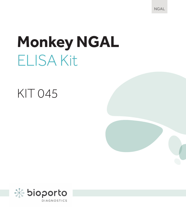NGAL

# **Monkey NGAL** ELISA Kit

### KIT 045

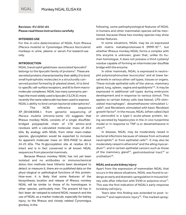#### **Revision: IFU 0250 v01 Please read these instructions carefully**

#### **INTENDED USE**

For the *in-vitro* determination of NGAL from Rhesus (*Macaca mulatta*) or Cynomolgus (*Macaca fascicularis*) monkeys in urine, plasma or serum. For research use only.

#### **INTRODUCTION**

NGAL (neutrophil gelatinase-associated lipocalin)<sup>1</sup> belongs to the lipocalin family of proteins<sup>2</sup>. These are secreted proteins characterized by their ability i) to bind small hydrophobic molecules in a structurally conserved pocket formed by β-pleated sheet, ii) to bind to specific cell-surface receptors, and iii) to form macromolecular complexes. NGAL has many synonyms: perhaps the most widely used is lipocalin 2 (LCN 2); more recently the name siderocalin has been used to express  $\mathsf{NGAL}$ 's ability to bind certain bacterial siderophores $^3$ .

The NCBI reference sequence XP\_001083008.1 from genomic sequencing of *Macaca mulatta* (chromo-some 15) suggests that Rhesus monkey NGAL consists of a single disulfidebridged polypeptide chain of 178 amino-acid residues with a calculated molecular mass of 20.4 kDa. By analogy with NGAL from other mam-malian species, glycosylation would be expected to increase its apparent molecular mass on SDS-PAGE to about 24-25 kDa. The N-glycosylation site at residue 65 is intact and is in fact conserved in all known NGAL sequences from placental mammals.

monkey. In the Because Rhesus monkey NGAL has not yet been isolated and no antibodies or immunochemical detec-tion methods have hitherto been developed to detect or measure it, there are no published data on the physi-ological or pathological functions of this protein. How-ever, it is likely that some features of the biosynthesis, location and release of Rhesus monkey NGAL will be similar to those of its homologues in other species, particularly man. The present kit has in fact been de-veloped to extend NGAL research and the use of NGAL as a marker molecule, especially for kidney injury, to the Rhesus and closely related Cynomolgus

following, some pathophysiological features of NGAL in humans and other mammalian species will be mentioned, because these two monkey species may show similar features.

In some situations, NGAL may be co-expressed with matrix metalloproteinase-9 (MMP-9)<sup>1,4</sup>, but whether Rhesus monkey NGAL forms a complex with this enzyme is unknown, given that, unlike its human homologue, it does not possess a third cysteinyl residue capable of forming an intermolecular disulfide bridge with the enzyme.

In other mammals, NGAL is expressed in neutrophil polymorphonuclear leucocytes<sup>1</sup> and at lower basal levels in various other cell types, tissues or organs. These include epithelial cells of the uterus, mammary gland, lung, spleen, vagina and epididymis<sup>5,6</sup>. It may be expressed in additional cell types during embryonic development and in response to various stimuli. This applies to certain kidney cells (see below), LPS-stimulated macrophages<sup>7</sup>, dexamethasone-stimulated Lcells<sup>8</sup>, and fibroblasts stimulated with basic fibroblast growth factor<sup>9</sup>. In the mouse, NGAL (often called 24p3) or uterocalin) is a type-1 acute-phase protein, being secreted by hepatocytes in the *in-vivo* turpentine model or in response to TNF-α or dexamethasone in  $virtro<sup>10</sup>$ 

In disease, NGAL may be moderately raised in bacterial infections because of release from activated neutrophils<sup>11</sup> or from epithelial cells<sup>12</sup>. It may also be moderately raised in atheroma<sup>4</sup> and the ailing myocardium13, and in certain epithelial cancers such as those of the mammary gland<sup>14</sup>, gastrointestinal tract<sup>15</sup> or urothelium16.

#### **NGAL and acute kidney injury**

Apart from the expression of mammalian NGAL that occurs in the above situations, NGAL was found to undergo an early and dramatic upregulation in mouse kidney cells after infection with SV40 or polyoma virus<sup>17</sup>. This was the first indication of NGAL's early response to kidney cell injury.

Years later this finding was extended to post- ischemic<sup>18</sup> and nephrotoxic injury<sup>19</sup>. The marked upreg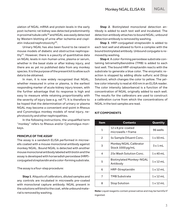ulation of NGAL mRNA and protein levels in the early post-ischemic rat kidney was detected predominantly in proximal tubule cells<sup>18</sup> and NGAL was easily detected by Western blotting of urine after ischemia and cisplatin-induced nephrotoxicity<sup>20</sup>.

Urinary NGAL has also been found to be raised in mouse models of diabetic and obstructive nephropathy<sup>21</sup>. However, there is a paucity of quantitative data on NGAL levels in non-human urine, plasma or serum, whether in the basal state or after kidney injury, and there are as yet no published data from any monkey species. It is the purpose of the present kit to allow such data to be obtained.

In man, it is now widely recognized that NGAL, whether measured in urine or plasma, is the earliest responding marker of acute kidney injury known, with the further advantage that its response is high and easy to measure while retaining proportionality with the severity of injury (see e.g. ref.<sup>22</sup>). It is therefore to be hoped that the determination of urinary or plasma NGAL may become a convenient end-point in Rhesus and Cynomolgus monkey models of renal injury, nephrotoxicity and other nephropathies.

In the following instructions, the unqualified term "monkey" refers to Rhesus and/or Cynomolgus monkeys.

#### **PRINCIPLE OF THE ASSAY**

The assay is a sandwich ELISA performed in microwells coated with a mouse monoclonal antibody against monkey NGAL. Bound NGAL is detected with another mouse monoclonal antibody labeled with biotin and the assay is developed with horseradish peroxidase (HRP) conjugated streptavidin and a color-forming substrate.

The assay is a four-step procedure:

**Step 1**. Aliquots of calibrators, diluted samples and any controls are incubated in microwells pre-coated with monoclonal canture antibody. NGAL present in the solutions will bind to the coat, while unbound material is removed by washing.

**Step 2**. Biotinylated monoclonal detection antibody is added to each test well and incubated. The detection antibody attaches to bound NGAL; unbound detection antibody is removed by washing.

**Step 3**. HRP-conjugated streptavidin is added to each test well and allowed to form a complex with the bound biotinylated antibody. Unbound conjugate is removed by washing.

**Step 4**. A color-forming peroxidase substrate containing tetramethylbenzidine (TMB) is added to each test well. The bound HRP-streptavidin reacts with the substrate to generate a blue color. The enzymatic reaction is stopped by adding dilute sulfuric acid (Stop Solution), which changes the color to yellow. The yellow color intensity is read at 450 nm in an ELISA reader. The color intensity (absorbance) is a function of the concentration of NGAL originally added to each well. The results for the calibrators are used to construct a calibration curve from which the concentrations of NGAL in the test samples are read.

#### **KIT COMPONENTS**

| ltem           | <b>Contents</b>                            | Quantity         |
|----------------|--------------------------------------------|------------------|
| 1              | 12 x 8 pre-coated<br>microwells + frame    | 96 wells         |
| $\overline{2}$ | 5x Sample Diluent Conc.                    | $1 \times 50$ mL |
| 3              | Monkey NGAL Calibrator<br>Stock 1000 pg/mL | 3x1mL            |
| 4              | 25x Wash Solution Conc.                    | $1 \times 40$ mL |
| 5              | Biotinylated Monkey-NGAL<br>Antibody       | $1 \times 12$ mL |
| 6              | HRP-Streptavidin                           | $1 \times 12$ mL |
| $\overline{7}$ | <b>TMB Substrate</b>                       | $1 \times 12$ mL |
| 8              | <b>Stop Solution</b>                       | $1 \times 12$ mL |

**Note:** Liquid reagents contain preservative and may be harmful if ingested.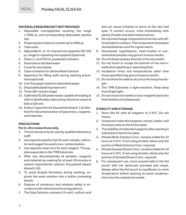#### **MATERIALS REQUIRED BUT NOT PROVIDED**

- 1. Adjustable micropipettes covering the range 1-1000 µL and corresponding disposable pipette tips
- 2. Polypropylene tubes to contain up to 2000 µL
- 3. Tube racks
- 4. Adjustable 8- or 12-channel micropipette (50-250 µL range) or repeating micropipette (optional)
- 5. Clean 1 L and 250 mL graduated cylinders
- 6. Deionized or distilled water
- 7. Cover for microplate
- 8. Clean container for diluted Wash Solution
- 9. Apparatus for filling wells during washing procedure (optional)
- 10. Lint-free paper towels or absorbent paper
- 11. Disposable pipetting reservoirs
- 12. Timer (60-minute range)
- 13. Calibrated ELISA plate reader capable of reading at 450 nm (preferably subtracting reference values at 650 or 620 nm)
- 14. Sodium hypochlorite (household bleach 1:10 dilution) for decontamination of specimens, reagents, and materials

#### **PRECAUTIONS**

#### **For** *in-vitro* **research use only.**

- 1. This kit should only be used by qualified laboratory staff.
- 2. Use separate pipette tips for each sample, calibrator and reagent to avoid cross-contamination.
- 3. Use separate reservoirs for each reagent. This applies especially to the TMB Substrate.
- 4. After use, decontaminate all samples, reagents and materials by soaking for at least 30 minutes in sodium hypochlorite solution (household bleach diluted 1:10).
- 5. To avoid droplet formation during washing, aspirate the wash solution into a bottle containing bleach.
- 6. Dispose of containers and residues safely in accordance with national and local regulations.
- 7. The Stop Solution contains 0.5 mol/L sulfuric acid

and can cause irritation or burns to the skin and eyes. If contact occurs, rinse immediately with plenty of water and seek medical advice.

- 8. Do not interchange components from kits with different batch numbers. The components have been standardized as a unit for a given batch.
- 9. Hemolyzed, hyperlipemic, heat-treated or contaminated samples may give erroneous results.
- 10. Do not dilute samples directly in the microwells.
- 11. Do not touch or scrape the bottom of the microwells when pipetting or aspirating fluid.
- 12. Incubation times and temperatures other than those specified may give erroneous results.
- 13. Do not allow the wells to dry once the assay has begun.
- 14. The TMB Substrate is light-sensitive. Keep away from bright light.
- 15. Do not reuse microwells or pour reagents back into their bottles once dispensed.

#### **STABILITY AND STORAGE**

- 1. Store the kit with all reagents at 2-8°C. Do not freeze.
- 2. Unopened materials/reagents remain stable until the expiry date on the kit box label.
- 3. The stability of materials/reagents after opening is indicated on the kit box label.
- 4. Diluted Wash Solution Conc. remains stable for 24 hours at 2-8°C. If not using all wells, dilute only the portion of Wash Solution Conc. required.
- 5. Diluted Sample Diluent Conc. remains stable for 24 hours at 2-8°C. If not using all wells, dilute only the portion of Sample Diluent Conc. required.
- 6. For subsequent use, store unused wells in the foil pouch with the desiccant provided and reseal. Always allow the foil pouch to equilibrate to room temperature before opening to avoid condensation in/on the coated microwells.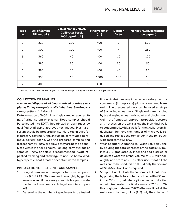| <b>Tube</b><br>no. | <b>Vol. of Sample</b><br>Diluent (µL) | <b>Vol. of Monkey NGAL</b><br><b>Calibrator Stock</b><br>1000 pg/mL (µL) | Final volume*<br>(PL) | <b>Dilution</b><br>factor | <b>Monkey NGAL concentra-</b><br>tion (pq/mL) |
|--------------------|---------------------------------------|--------------------------------------------------------------------------|-----------------------|---------------------------|-----------------------------------------------|
| 1                  | 220                                   | 200                                                                      | 400                   | 2                         | 500                                           |
| $\overline{2}$     | 300                                   | 100                                                                      | 400                   | 4                         | 250                                           |
| 3                  | 360                                   | 40                                                                       | 400                   | 10                        | 100                                           |
| 4                  | 380                                   | 20                                                                       | 400                   | 20                        | 50                                            |
| 5                  | 390                                   | 10                                                                       | 400                   | 40                        | 25                                            |
| 6                  | 990                                   | 10                                                                       | 1000                  | 100                       | 10                                            |
| $\overline{7}$     | 400                                   |                                                                          | 400                   |                           | 0                                             |

\*Only 200 μL are used for setting up the assay, 100 μL being added to each of duplicate wells.

#### **COLLECTION OF SAMPLES**

### *Handle and dispose of all blood-derived or urine samples as if they were potentially infectious. See Precautions, sections 1, 2, 4 and 5.*

Determination of NGAL in a single sample requires 10 µL of urine, serum or plasma. Blood samples should be collected into EDTA, heparinized or plain tubes by qualified staff using approved techniques. Plasma or serum should be prepared by standard techniques for laboratory testing. Urine should be centrifuged to remove cellular debris. Cap the prepared samples and freeze them at -20°C or below if they are not to be analyzed within the next 4 hours. For long-term storage of samples, -70<sup>°</sup>C or below is recommended. **Avoid repeated freezing and thawing.** Do not use hemolyzed, hyperlipemic, heat-treated or contaminated samples.

#### **PREPARATION OF REAGENTS AND SAMPLES**

- 1. Bring all samples and reagents to room temperature (20-25°C). Mix samples thoroughly by gentle inversion and if necessary clear visible particulate matter by low-speed centrifugation (discard pel- $|a+1|$
- 2. Determine the number of specimens to be tested

(in duplicate) plus any internal laboratory control specimens (in duplicate) plus any reagent blank wells. The pre-coated wells can be used as strips of 8 or as individual wells. Single wells are handled by breaking individual wells apart and placing each well in the frame at an appropriate position. Letters and notches on the wells allow the individual wells to be identified. Add 16 wells for the 8 calibrators (in duplicate). Remove the number of microwells required and replace the remainder in the foil pouch with desiccant at 2-8°C.

- 3. Wash Solution: Dilute the 25x Wash Solution Conc. by pouring the total contents of the bottle (40 mL) into a 1-L graduated cylinder and add distilled or deionized water to a final volume of 1 L. Mix thoroughly and store at 2-8°C after use. If not all the wells are to be used, dilute (1/25) only the volume of Wash Solution Conc. required.
- 4. Sample Diluent: Dilute the 5x Sample Diluent Conc. by pouring the total contents of the bottle (50 mL) into a 250-mL graduated cylinder and add distilled or deionized water to a final volume of 250 mL. Mix thoroughly and store at 2-8°C after use. If not all the wells are to be used, dilute (1/5) only the volume of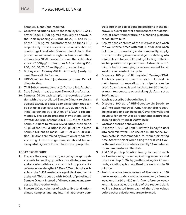Sample Diluent Conc. required.

- 5. Calibrator dilutions: Dilute the Monkey NGAL Calibrator Stock (1000 pg/mL) manually as shown in the Table by adding 200, 100, 40, 20, 10 and 10 μL of the 1000 pg/mL calibrator stock to tubes 1-6, respectively. Tube 7 serves as the zero calibrator, consisting of prediluted Sample Diluent alone. This procedure will result in eight calibrators of different monkey NGAL concentrations: the calibrator stock of 1000 pg/mL plus tubes 1-7 containing 500, 250, 100, 50, 25, 10 and 0 pg/mL, respectively.
- 6. Biotinylated Monkey-NGAL Antibody (ready to use): Do not dilute further.
- 7. HRP-Streptavidin conjugate (ready to use): Do not dilute further.
- 8. TMB Substrate (ready to use): Do not dilute further.
- 9. Stop Solution (ready to use): Do not dilute further.
- 10. Samples: Dilute each sample in a recorded proportion with the pre-diluted Sample Diluent to obtain at least 250 µL of diluted sample solution that can be set up in duplicate wells at 100 µL per well. An initial screening at a dilution of 1/250 is recommended. This can be prepared in two steps, as follows: dilute 10 µL of sample in 490 µL of pre-diluted Sample Diluent to make a 1/50 dilution; then dilute 50 µL of the 1/50 dilution in 200 µL of pre-diluted Sample Diluent to make 250 µL of a 1/250 dilution. Dilutions are mixed by inversion or moderate vortexing. Out-of-range samples should be reassayed at higher or lower dilution as appropriate.

### **ASSAY PROCEDURE**

- 1. Prepare the assay protocol, assigning the appropriate wells for setting up calibrators, diluted samples and any internal laboratory controls in duplicate. If a reference wavelength of 650 or 620 nm is not available on the ELISA reader, a reagent blank well can be assigned. This is set up with 100 µL of pre-diluted Sample Diluent instead of diluted sample and processed like the other wells.
- 2. Pipette 100 µL volumes of each calibrator dilution, diluted samples and any internal laboratory con-

trols into their corresponding positions in the microwells. Cover the wells and incubate for 60 minutes at room temperature on a shaking platform set at 200/minute.

- 3. Aspirate the contents of the microwells and wash the wells three times with 300 µL of diluted Wash Solution. If the washing is done manually, empty the microwells by inversion and gentle shaking into a suitable container, followed by blotting in the inverted position on a paper towel. A dwell time of 1 minute before emptying is recommended for at least the last wash of the cycle.
- 4. Dispense 100 µL of Biotinylated Monkey-NGAL Antibody (ready to use) into each microwell. A multichannel or repeating micropipette can be used. Cover the wells and incubate for 60 minutes at room temperature on a shaking platform set at 200/minute.
- 5. Wash as described above in Step 3.
- 6. Dispense 100 µL of HRP-Streptavidin (ready to use) into each microwell. A multichannel or repeating micropipette can be used. Cover the wells and incubate for 60 minutes at room temperature on a shaking platform set at 200/minute.
- 7. Wash as described above in Step 3.
- 8. Dispense 100 µL of TMB Substrate (ready to use) into each microwell. The use of a multichannel micropipette is recommended to reduce pipetting time. Start the clock when filling the first well. Cover the wells and incubate for exactly **10 minutes** at room temperature in the dark.
- 9. Add 100 µL Stop Solution (ready to use) to each well, maintaining the same pipetting sequence and rate as in Step 8. Mix by gentle shaking for 20 seconds, avoiding splashing. Read the wells within 30 minutes.
- 10. Read the absorbance values of the wells at 450 nm in an appropriate microplate reader (reference wavelength 650 or 620 nm). If no reference wavelength is available, the value of the reagent blank well is subtracted from each of the other values before other calculations are performed.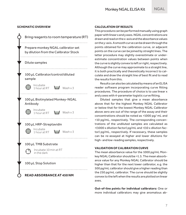#### **SCHEMATIC OVERVIEW**



#### **CALCULATION OF RESULTS**

This procedure can be performed manually using graph paper with linear x and y axes. NGAL concentrations are drawn and read on the x-axis and the absorbance values on the y-axis. A smooth curve can be drawn through the points obtained for the calibration curve, or adjacent points on the curve can be joined by straight lines. The latter procedure may slightly overestimate or underestimate concentration values between points when the curve is slightly convex to left or right, respectively. Although the curve may approximate to a straight line, it is both practically and theoretically incorrect to calculate and draw the straight line of best fit and to read the results from this.

Results can also be calculated by means of an ELISA reader software program incorporating curve fitting procedures. The procedure of choice is to use linear x and y axes with 4-parameter logistic curve fitting.

Diluted samples that give a mean absorbance above that for the highest Monkey NGAL Calibrator or below that for the lowest Monkey NGAL Calibrator above zero are out of the range of the assay and their concentrations should be noted as >1000 pg/ mL and <10 pg/mL, respectively. The corresponding concentrations of the undiluted samples are calculated as >(1000 x dilution factor) pg/mL and <(10 x dilution factor) pg/mL, respectively. If necessary, these samples can be re-assayed at higher and lower dilutions for high- and low-reading samples, respectively.

### **VALIDATION OF CALIBRATION CURVE**

The mean absorbance value for the 1000 pg/mL Monkey NGAL Calibrator should be >1.5. The mean absorbance value for any Monkey NGAL Calibrator should be higher than that for the next lower calibrator, e.g. the 500 pg/mL calibrator should give a higher reading than the 250 pg/mL calibrator. The curve should be slightly convex to the left when the results are plotted on linear axes.

**Out-of-line points for individual calibrators:** One or more individual calibrators may give anomalous ab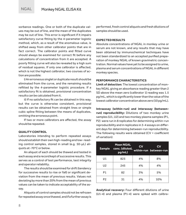sorbance readings. One or both of the duplicate values may be out of line, and the mean of the duplicates may be out of line. This error is significant if it impairs satisfactory curve fitting by the 4-parameter logistic method, which, as a result of the anomalous value, is shifted away from other calibrator points that are in fact correct. The calibrator points and fitted curve should always be examined for correct fit before any calculations of concentration from it are accepted. A poorly fitting curve will also be revealed by a high sum of residual squares. If only one calibrator is affected, which is not the highest calibrator, two courses of action are possible:

i) An erroneous singlet or duplicate result should be eliminated from the curve, and the remaining results refitted by the 4-parameter logistic procedure. If a satisfactory fit is obtained, provisional concentration results can be calculated from it.

ii) If no satisfactory fit can be obtained in this way, but the curve is otherwise consistent, provisional results can be obtained from straight lines or simple cubic spline fitting between the means of duplicates, omitting the erroneous point.

If two or more calibrators are affected, the assay should be repeated.

#### **QUALITY CONTROL**

Laboratories intending to perform repeated assays should establish their own high-reading and low- reading control samples, stored in small (e.g. 50-µL) aliquots at -70°C or below.

An aliquot of each should be thawed and tested in each assay and a record kept of successive results. This serves as a control of test performance, test integrity and operator reliability.

The results should be examined for drift (tendency for successive results to rise or fall) or significant deviation from the mean of previous results. Values not deviating by more than 20% from the mean of previous values can be taken to indicate acceptability of the assay.

Aliquots of control samples should not be refrozen for repeated assay once thawed, and if a further assay is performed, fresh control aliquots and fresh dilutions of samples should be used.

#### **EXPECTED RESULTS**

Absolute concentrations of NGAL in monkey urine or serum are not known, and any results that may have been obtained by immunochemical techniques have not been standardized to an accepted purified preparation of monkey NGAL of known gravimetric concentration. Normal values have yet to be assigned to urine, plasma and serum concentrations of NGAL in different monkey species.

#### **PERFORMANCE CHARACTERISTICS**

**Limit of detection:** The lowest concentration of monkey NGAL giving an absorbance reading greater than 2 SD above the mean zero (calibrator 1) reading was 1.5 pg/mL, which is significantly lower than the value of the lowest calibrator concentration above zero (10 pg/mL).

**Intraassay (within-run) and interassay (betweenrun) reproducibility:** Dilutions of two monkey urine samples (U1, U2) and two monkey plasma samples (P1, P2) were run in 8 replicates for determining within-run reproducibility and in replicates in 3-4 assays on different days for determining between-run reproducibility. The following results were obtained (CV = coefficient of variation):

| <b>Sample</b>  | <b>Mean NGAL</b><br>conc. (diluted,<br>pq/mL) | <b>CV</b> | CV<br>within-run between-run |
|----------------|-----------------------------------------------|-----------|------------------------------|
| U <sub>1</sub> | 825                                           | 4%        | 8%                           |
| U <sub>2</sub> | 245                                           | 4%        | 4%                           |
| P <sub>1</sub> | 82                                            | 3%        | 5%                           |
| P <sub>2</sub> | 31                                            | 4%        | 10%                          |

**Analytical recovery:** Four different dilutions of urine (U1-4) and plasma (P1-4) were spiked with calibra-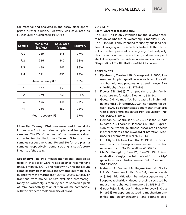tor material and analyzed in the assay after appropriate further dilution. Recovery was calculated as ("Measured"/"Calculated") x 100%:

| <b>Sample</b>     | <b>Measured</b><br>(pg/mL) | <b>Calculated</b><br>(pg/mL) | <b>Recovery</b> |
|-------------------|----------------------------|------------------------------|-----------------|
| U1                | 139                        | 143                          | 97%             |
| U <sub>2</sub>    | 236                        | 240                          | 98%             |
| U <sub>3</sub>    | 439                        | 447                          | 98%             |
| $U_4$             | 791                        | 856                          | 92%             |
| Mean recovery (U) |                            |                              | 96%             |
| P <sub>1</sub>    | 137                        | 139                          | 96%             |
| P <sub>2</sub>    | 239                        | 236                          | 101%            |
| P <sub>3</sub>    | 425                        | 443                          | 96%             |
| P <sub>4</sub>    | 786                        | 852                          | 92%             |
| Mean recovery (P) |                            |                              | 97%             |

**Linearity:** Monkey NGAL was measured in serial dilutions (n = 8) of two urine samples and two plasma samples. The CV of the mean of the measured values corrected for the dilution was 4% and 1% for the urine samples respectively, and 4% and 3% for the plasma samples respectively, demonstrating a satisfactory linearity of the assay.

**Specificity:** The two mouse monoclonal antibodies used in this assay were raised against recombinant Rhesus monkey NGAL and react with urine and serum samples from both Rhesus and Cynomolgus monkeys, but not from the marmoset (*Callithrix jacchus*). Assay of fractions from molecular size exclusion chromatography of Cynomolgus monkey serum showed a peak of immunoreactivity at an elution volume compatible with the expected molecular size of NGAL.

#### **LIABILITY**

#### **For** *in-vitro* **research use only.**

This ELISA Kit is only intended for the *in vitro* determination of Rhesus or Cynomolgus monkey NGAL. The ELISA Kit is only intended for use by qualified personnel carrying out research activities. If the recipient of this test passes it on in any way to a third party, this instruction must be enclosed, and said recipient shall at recipient's own risk secure in favor of BioPorto Diagnostics A/S all limitations of liability herein.

#### **REFERENCES**

- 1. Kjeldsen L, Cowland JB, Borregaard N (2000) Human neutrophil gelatinase-associated lipocalin and homologous proteins in rat and mouse. Biochim Biophys Acta 1482:272-283.
- 2. Flower DR (1996) The lipocalin protein family: structure and function. Biochem J 318:1-14.
- 3. Goetz DH, Holmes MA, Borregaard N, Bluhm ME, Raymond KN, Strong RK (2002) The neutrophil lipocalin NGAL is a bacteriostatic agent that interferes with siderophore-mediated iron acquisition. Mol Cell 10:1033-1043.
- 4. Hemdahl AL, Gabrielsen A, Zhu C, Eriksson P, Hedin U, Kastrup J, Thorén P, Hansson GK (2006) Expression of neutrophil gelatinase-associated lipocalin in atherosclerosis and myocardial infarction. Arterioscler Thromb Vasc Biol 26:136-142.
- 5. Liu Q, Ryon J, Nilsen-Hamilton M (1997) Uterocalin: a mouse acute phase protein expressed in the uterus around birth. Mol Reprod Dev 46:507-14.
- 6. Chu ST, Huang HL, Chen JM, Chen YH (1996) Demonstration of a glycoprotein derived from the 24p3 gene in mouse uterine luminal fluid. Biochem J 316:545-550.
- 7. Meheus LA, Fransen LM, Raymackers JG, Blockx HA, Van Beeumen JJ, Van Bun SM, Van de Voorde A (1993) Identification by microsequencing of lipopolysaccharide-induced proteins secreted by mouse macrophages. J Immunol 151:1535-1547.
- 8. Garay-Rojas E, Harper M, Hraba-Renevey S, Kress M (1996) An apparent autocrine mechanism amplifies the dexamethasone- and retinoic acid-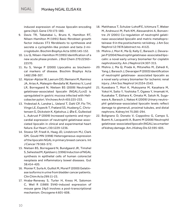induced expression of mouse lipocalin-encoding gene 24p3. Gene 170:173-180.

- 9. Davis TR, Tabatabai L, Bruns K, Hamilton RT, Nilsen-Hamilton M (1991) Basic fibroblast growth factor induces 3T3 fibroblasts to synthesize and secrete a cyclophilin-like protein and beta 2-microglobulin. Biochim Biophys Acta 1095:145-152.
- 10. Liu Q, Nilsen-Hamilton M (1995) Identification of a new acute phase protein. J Biol Chem 270:22565– 22570.
- 11. Xu S, Venge P (2000) Lipocalins as biochemical markers of disease. Biochim Biophys Acta 1482:298-307.
- 12. Alpízar-Alpízar W, Laerum OD, Illemann M, Ramírez JA, Arias A, Malespín-Bendaña W, Ramírez V, Lund LR, Borregaard N, Nielsen BS (2009) Neutrophil gelatinase-associated lipocalin (NGAL/Lcn2) is upregulated in gastric mucosa infected with Helicobacter pylori. Virchows Arch 455:225-233.
- 13. Yndestad A, Landrø L, Ueland T, Dahl CP, Flo TH, Vinge LE, Espevik T, Frøland SS, Husberg C, Christensen G, Dickstein K, Kjekshus J, Øie E, Gullestad L, Aukrust P (2009) Increased systemic and myocardial expression of neutrophil gelatinase-associated lipocalin in clinical and experimental heart failure. Eur Heart J 30:1229-1236.
- 14. Stoesz SP, Friedl A, Haag JD, Lindstrom MJ, Clark GM, Gould MN (1998) Heterogeneous expression of the lipocalin NGAL in primary breast cancers. Int J Cancer 79:565-572.
- 15. Nielsen BS, Borregaard N, Bundgaard JR, Timshel S, Sehested M, Kjeldsen L (1996) Induction of NGAL synthesis in epithelial cells of human colorectal neoplasia and inflammatory bowel diseases. Gut 38:414-420.
- 16. Monier F, Surla A, Guillot M, Morel F (2000) Gelatinase isoforms in urine from bladder cancer patients. Clin Chim Acta 299:11-23.
- 17. Hraba-Renevey S, Turler H, Kress M, Salomon C, Weil R (1989) SV40-induced expression of mouse gene 24p3 involves a post-transcriptional mechanism. Oncogene 4:601-608.
- 18. Matthaeus T, Schulze-Lohoff E, Ichimura T, Weber M, Andreucci M, Park KM, Alessandrini A, Bonventre JV (2001) Co-regulation of neutrophil gelatinase-associated lipocalin and matrix metalloproteinase-9 in the postischemic rat kidney. J Am Soc Nephrol 12:787A (abstract no. 4112).
- 19. Mishra J, Mori K, Ma Q, Kelly C, Barasch J, Devarajan P (2004) Neutrophil gelatinase-associated lipocalin: a novel early urinary biomarker for cisplatin nephrotoxicity. Am J Nephrol 24:307-315.
- 20. Mishra J, Ma Q, Prada A, Mitsnefes M, Zahedi K, Yang J, Barasch J, Devarajan P (2003) Identification of neutrophil gelatinase- associated lipocalin as a novel early urinary biomarker for ischemic renal injury. J Am Soc Nephrol 14:2534-2543.
- 21. Kuwabara T, Mori K, Mukoyama M, Kasahara M, Yokoi H, Saito Y, Yoshioka T, Ogawa Y, Imamaki H, Kusakabe T, Ebihara K, Omata M, Satoh N, Sugawara A, Barasch J, Nakao K (2009) Urinary neutrophil gelatinase-associated lipocalin levels reflect damage to glomeruli, proximal tubules, and distal nephrons. Kidney Int 75:285-294.
- 22. Bolignano D, Donato V, Coppolino G, Campo S, Buemi A, Lacquaniti A, Buemi M (2008) Neutrophil gelatinase-associated lipocalin (NGAL) as a marker of kidney damage. Am J Kidney Dis 52:595-605.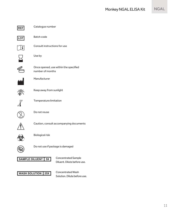

**REF** Catalogue number

**LOT** Batch code



Consult instructions for use



Use by



Once opened, use within the specified number of months



Manufacturer



Keep away from sunlight



**8˚C** Temperature limitation



Do not reuse



Caution, consult accompanying documents



Biological risk



Do not use if package is damaged



Diluent. Dilute before use.

**WASH SOLUTION** 25X Concentrated Wash

Solution. Dilute before use.